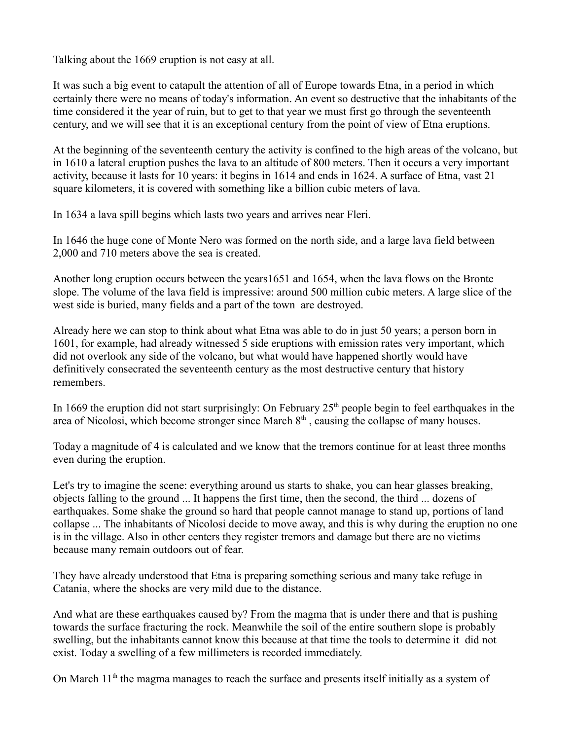Talking about the 1669 eruption is not easy at all.

It was such a big event to catapult the attention of all of Europe towards Etna, in a period in which certainly there were no means of today's information. An event so destructive that the inhabitants of the time considered it the year of ruin, but to get to that year we must first go through the seventeenth century, and we will see that it is an exceptional century from the point of view of Etna eruptions.

At the beginning of the seventeenth century the activity is confined to the high areas of the volcano, but in 1610 a lateral eruption pushes the lava to an altitude of 800 meters. Then it occurs a very important activity, because it lasts for 10 years: it begins in 1614 and ends in 1624. A surface of Etna, vast 21 square kilometers, it is covered with something like a billion cubic meters of lava.

In 1634 a lava spill begins which lasts two years and arrives near Fleri.

In 1646 the huge cone of Monte Nero was formed on the north side, and a large lava field between 2,000 and 710 meters above the sea is created.

Another long eruption occurs between the years1651 and 1654, when the lava flows on the Bronte slope. The volume of the lava field is impressive: around 500 million cubic meters. A large slice of the west side is buried, many fields and a part of the town are destroyed.

Already here we can stop to think about what Etna was able to do in just 50 years; a person born in 1601, for example, had already witnessed 5 side eruptions with emission rates very important, which did not overlook any side of the volcano, but what would have happened shortly would have definitively consecrated the seventeenth century as the most destructive century that history remembers.

In 1669 the eruption did not start surprisingly: On February  $25<sup>th</sup>$  people begin to feel earthquakes in the area of Nicolosi, which become stronger since March  $8<sup>th</sup>$ , causing the collapse of many houses.

Today a magnitude of 4 is calculated and we know that the tremors continue for at least three months even during the eruption.

Let's try to imagine the scene: everything around us starts to shake, you can hear glasses breaking, objects falling to the ground ... It happens the first time, then the second, the third ... dozens of earthquakes. Some shake the ground so hard that people cannot manage to stand up, portions of land collapse ... The inhabitants of Nicolosi decide to move away, and this is why during the eruption no one is in the village. Also in other centers they register tremors and damage but there are no victims because many remain outdoors out of fear.

They have already understood that Etna is preparing something serious and many take refuge in Catania, where the shocks are very mild due to the distance.

And what are these earthquakes caused by? From the magma that is under there and that is pushing towards the surface fracturing the rock. Meanwhile the soil of the entire southern slope is probably swelling, but the inhabitants cannot know this because at that time the tools to determine it did not exist. Today a swelling of a few millimeters is recorded immediately.

On March  $11<sup>th</sup>$  the magma manages to reach the surface and presents itself initially as a system of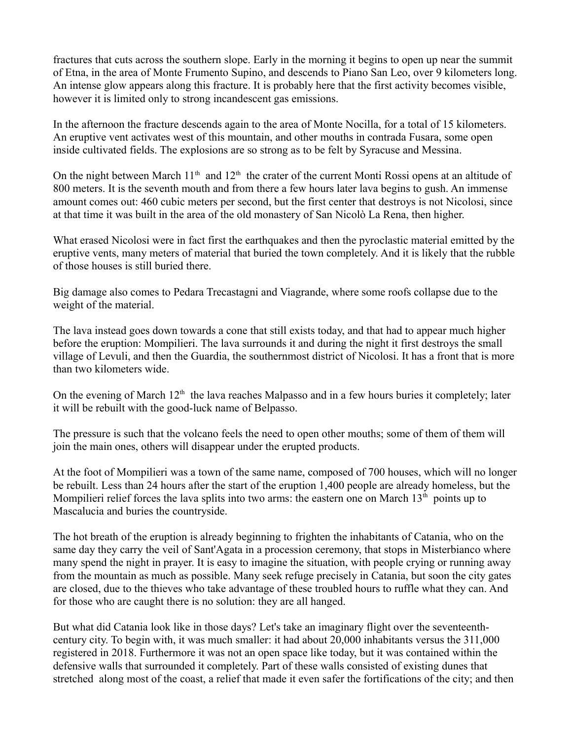fractures that cuts across the southern slope. Early in the morning it begins to open up near the summit of Etna, in the area of Monte Frumento Supino, and descends to Piano San Leo, over 9 kilometers long. An intense glow appears along this fracture. It is probably here that the first activity becomes visible, however it is limited only to strong incandescent gas emissions.

In the afternoon the fracture descends again to the area of Monte Nocilla, for a total of 15 kilometers. An eruptive vent activates west of this mountain, and other mouths in contrada Fusara, some open inside cultivated fields. The explosions are so strong as to be felt by Syracuse and Messina.

On the night between March 11<sup>th</sup> and 12<sup>th</sup> the crater of the current Monti Rossi opens at an altitude of 800 meters. It is the seventh mouth and from there a few hours later lava begins to gush. An immense amount comes out: 460 cubic meters per second, but the first center that destroys is not Nicolosi, since at that time it was built in the area of the old monastery of San Nicolò La Rena, then higher.

What erased Nicolosi were in fact first the earthquakes and then the pyroclastic material emitted by the eruptive vents, many meters of material that buried the town completely. And it is likely that the rubble of those houses is still buried there.

Big damage also comes to Pedara Trecastagni and Viagrande, where some roofs collapse due to the weight of the material.

The lava instead goes down towards a cone that still exists today, and that had to appear much higher before the eruption: Mompilieri. The lava surrounds it and during the night it first destroys the small village of Levuli, and then the Guardia, the southernmost district of Nicolosi. It has a front that is more than two kilometers wide.

On the evening of March  $12<sup>th</sup>$  the lava reaches Malpasso and in a few hours buries it completely; later it will be rebuilt with the good-luck name of Belpasso.

The pressure is such that the volcano feels the need to open other mouths; some of them of them will join the main ones, others will disappear under the erupted products.

At the foot of Mompilieri was a town of the same name, composed of 700 houses, which will no longer be rebuilt. Less than 24 hours after the start of the eruption 1,400 people are already homeless, but the Mompilieri relief forces the lava splits into two arms: the eastern one on March  $13<sup>th</sup>$  points up to Mascalucia and buries the countryside.

The hot breath of the eruption is already beginning to frighten the inhabitants of Catania, who on the same day they carry the veil of Sant'Agata in a procession ceremony, that stops in Misterbianco where many spend the night in prayer. It is easy to imagine the situation, with people crying or running away from the mountain as much as possible. Many seek refuge precisely in Catania, but soon the city gates are closed, due to the thieves who take advantage of these troubled hours to ruffle what they can. And for those who are caught there is no solution: they are all hanged.

But what did Catania look like in those days? Let's take an imaginary flight over the seventeenthcentury city. To begin with, it was much smaller: it had about 20,000 inhabitants versus the 311,000 registered in 2018. Furthermore it was not an open space like today, but it was contained within the defensive walls that surrounded it completely. Part of these walls consisted of existing dunes that stretched along most of the coast, a relief that made it even safer the fortifications of the city; and then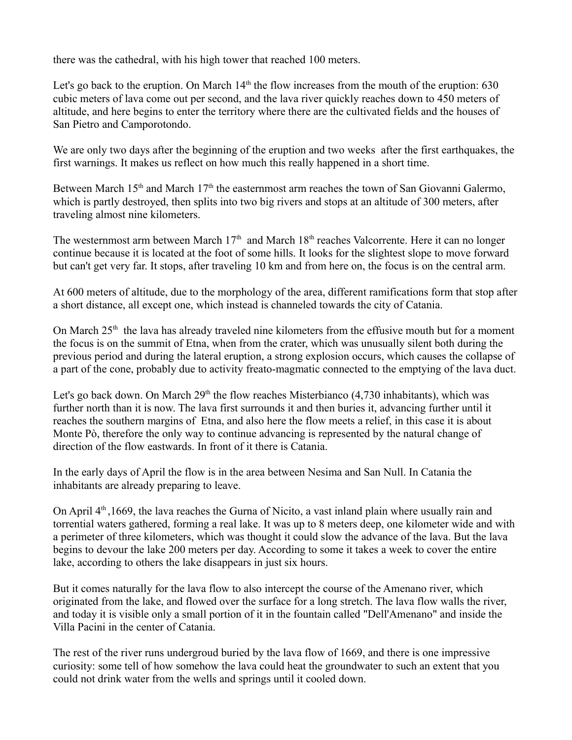there was the cathedral, with his high tower that reached 100 meters.

Let's go back to the eruption. On March  $14<sup>th</sup>$  the flow increases from the mouth of the eruption: 630 cubic meters of lava come out per second, and the lava river quickly reaches down to 450 meters of altitude, and here begins to enter the territory where there are the cultivated fields and the houses of San Pietro and Camporotondo.

We are only two days after the beginning of the eruption and two weeks after the first earthquakes, the first warnings. It makes us reflect on how much this really happened in a short time.

Between March 15<sup>th</sup> and March 17<sup>th</sup> the easternmost arm reaches the town of San Giovanni Galermo, which is partly destroyed, then splits into two big rivers and stops at an altitude of 300 meters, after traveling almost nine kilometers.

The westernmost arm between March  $17<sup>th</sup>$  and March  $18<sup>th</sup>$  reaches Valcorrente. Here it can no longer continue because it is located at the foot of some hills. It looks for the slightest slope to move forward but can't get very far. It stops, after traveling 10 km and from here on, the focus is on the central arm.

At 600 meters of altitude, due to the morphology of the area, different ramifications form that stop after a short distance, all except one, which instead is channeled towards the city of Catania.

On March  $25<sup>th</sup>$  the lava has already traveled nine kilometers from the effusive mouth but for a moment the focus is on the summit of Etna, when from the crater, which was unusually silent both during the previous period and during the lateral eruption, a strong explosion occurs, which causes the collapse of a part of the cone, probably due to activity freato-magmatic connected to the emptying of the lava duct.

Let's go back down. On March  $29<sup>th</sup>$  the flow reaches Misterbianco (4,730 inhabitants), which was further north than it is now. The lava first surrounds it and then buries it, advancing further until it reaches the southern margins of Etna, and also here the flow meets a relief, in this case it is about Monte Pò, therefore the only way to continue advancing is represented by the natural change of direction of the flow eastwards. In front of it there is Catania.

In the early days of April the flow is in the area between Nesima and San Null. In Catania the inhabitants are already preparing to leave.

On April  $4<sup>th</sup>$ , 1669, the lava reaches the Gurna of Nicito, a vast inland plain where usually rain and torrential waters gathered, forming a real lake. It was up to 8 meters deep, one kilometer wide and with a perimeter of three kilometers, which was thought it could slow the advance of the lava. But the lava begins to devour the lake 200 meters per day. According to some it takes a week to cover the entire lake, according to others the lake disappears in just six hours.

But it comes naturally for the lava flow to also intercept the course of the Amenano river, which originated from the lake, and flowed over the surface for a long stretch. The lava flow walls the river, and today it is visible only a small portion of it in the fountain called "Dell'Amenano" and inside the Villa Pacini in the center of Catania.

The rest of the river runs undergroud buried by the lava flow of 1669, and there is one impressive curiosity: some tell of how somehow the lava could heat the groundwater to such an extent that you could not drink water from the wells and springs until it cooled down.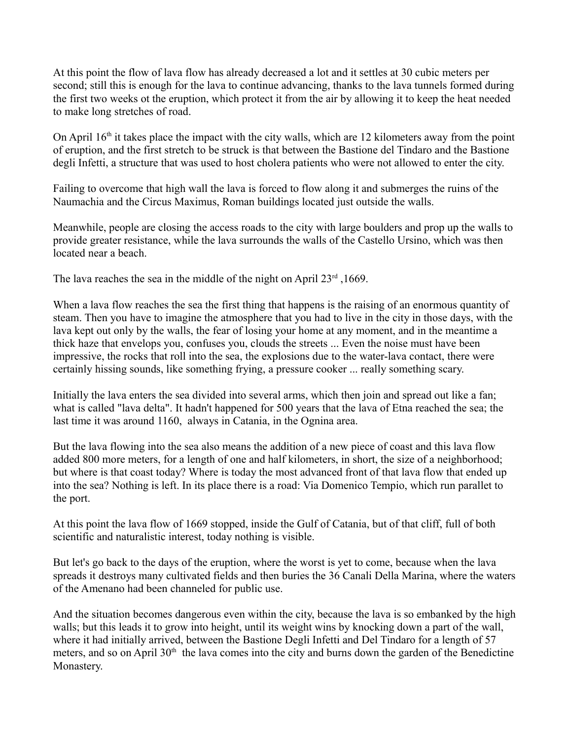At this point the flow of lava flow has already decreased a lot and it settles at 30 cubic meters per second; still this is enough for the lava to continue advancing, thanks to the lava tunnels formed during the first two weeks ot the eruption, which protect it from the air by allowing it to keep the heat needed to make long stretches of road.

On April  $16<sup>th</sup>$  it takes place the impact with the city walls, which are 12 kilometers away from the point of eruption, and the first stretch to be struck is that between the Bastione del Tindaro and the Bastione degli Infetti, a structure that was used to host cholera patients who were not allowed to enter the city.

Failing to overcome that high wall the lava is forced to flow along it and submerges the ruins of the Naumachia and the Circus Maximus, Roman buildings located just outside the walls.

Meanwhile, people are closing the access roads to the city with large boulders and prop up the walls to provide greater resistance, while the lava surrounds the walls of the Castello Ursino, which was then located near a beach.

The lava reaches the sea in the middle of the night on April  $23<sup>rd</sup>$ , 1669.

When a lava flow reaches the sea the first thing that happens is the raising of an enormous quantity of steam. Then you have to imagine the atmosphere that you had to live in the city in those days, with the lava kept out only by the walls, the fear of losing your home at any moment, and in the meantime a thick haze that envelops you, confuses you, clouds the streets ... Even the noise must have been impressive, the rocks that roll into the sea, the explosions due to the water-lava contact, there were certainly hissing sounds, like something frying, a pressure cooker ... really something scary.

Initially the lava enters the sea divided into several arms, which then join and spread out like a fan; what is called "lava delta". It hadn't happened for 500 years that the lava of Etna reached the sea; the last time it was around 1160, always in Catania, in the Ognina area.

But the lava flowing into the sea also means the addition of a new piece of coast and this lava flow added 800 more meters, for a length of one and half kilometers, in short, the size of a neighborhood; but where is that coast today? Where is today the most advanced front of that lava flow that ended up into the sea? Nothing is left. In its place there is a road: Via Domenico Tempio, which run parallet to the port.

At this point the lava flow of 1669 stopped, inside the Gulf of Catania, but of that cliff, full of both scientific and naturalistic interest, today nothing is visible.

But let's go back to the days of the eruption, where the worst is yet to come, because when the lava spreads it destroys many cultivated fields and then buries the 36 Canali Della Marina, where the waters of the Amenano had been channeled for public use.

And the situation becomes dangerous even within the city, because the lava is so embanked by the high walls; but this leads it to grow into height, until its weight wins by knocking down a part of the wall, where it had initially arrived, between the Bastione Degli Infetti and Del Tindaro for a length of 57 meters, and so on April  $30<sup>th</sup>$  the lava comes into the city and burns down the garden of the Benedictine Monastery.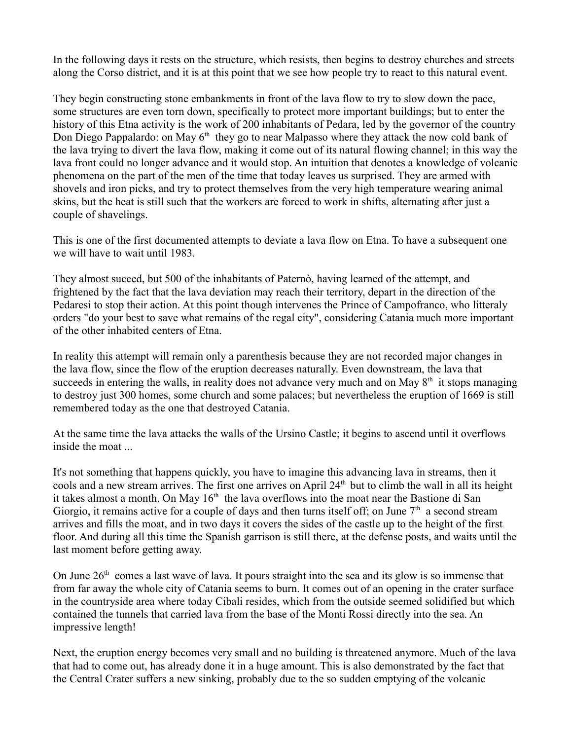In the following days it rests on the structure, which resists, then begins to destroy churches and streets along the Corso district, and it is at this point that we see how people try to react to this natural event.

They begin constructing stone embankments in front of the lava flow to try to slow down the pace, some structures are even torn down, specifically to protect more important buildings; but to enter the history of this Etna activity is the work of 200 inhabitants of Pedara, led by the governor of the country Don Diego Pappalardo: on May  $6<sup>th</sup>$  they go to near Malpasso where they attack the now cold bank of the lava trying to divert the lava flow, making it come out of its natural flowing channel; in this way the lava front could no longer advance and it would stop. An intuition that denotes a knowledge of volcanic phenomena on the part of the men of the time that today leaves us surprised. They are armed with shovels and iron picks, and try to protect themselves from the very high temperature wearing animal skins, but the heat is still such that the workers are forced to work in shifts, alternating after just a couple of shavelings.

This is one of the first documented attempts to deviate a lava flow on Etna. To have a subsequent one we will have to wait until 1983.

They almost succed, but 500 of the inhabitants of Paternò, having learned of the attempt, and frightened by the fact that the lava deviation may reach their territory, depart in the direction of the Pedaresi to stop their action. At this point though intervenes the Prince of Campofranco, who litteraly orders "do your best to save what remains of the regal city", considering Catania much more important of the other inhabited centers of Etna.

In reality this attempt will remain only a parenthesis because they are not recorded major changes in the lava flow, since the flow of the eruption decreases naturally. Even downstream, the lava that succeeds in entering the walls, in reality does not advance very much and on May 8<sup>th</sup> it stops managing to destroy just 300 homes, some church and some palaces; but nevertheless the eruption of 1669 is still remembered today as the one that destroyed Catania.

At the same time the lava attacks the walls of the Ursino Castle; it begins to ascend until it overflows inside the moat ...

It's not something that happens quickly, you have to imagine this advancing lava in streams, then it cools and a new stream arrives. The first one arrives on April 24<sup>th</sup> but to climb the wall in all its height it takes almost a month. On May  $16<sup>th</sup>$  the lava overflows into the moat near the Bastione di San Giorgio, it remains active for a couple of days and then turns itself off; on June  $7<sup>th</sup>$  a second stream arrives and fills the moat, and in two days it covers the sides of the castle up to the height of the first floor. And during all this time the Spanish garrison is still there, at the defense posts, and waits until the last moment before getting away.

On June  $26<sup>th</sup>$  comes a last wave of lava. It pours straight into the sea and its glow is so immense that from far away the whole city of Catania seems to burn. It comes out of an opening in the crater surface in the countryside area where today Cibali resides, which from the outside seemed solidified but which contained the tunnels that carried lava from the base of the Monti Rossi directly into the sea. An impressive length!

Next, the eruption energy becomes very small and no building is threatened anymore. Much of the lava that had to come out, has already done it in a huge amount. This is also demonstrated by the fact that the Central Crater suffers a new sinking, probably due to the so sudden emptying of the volcanic